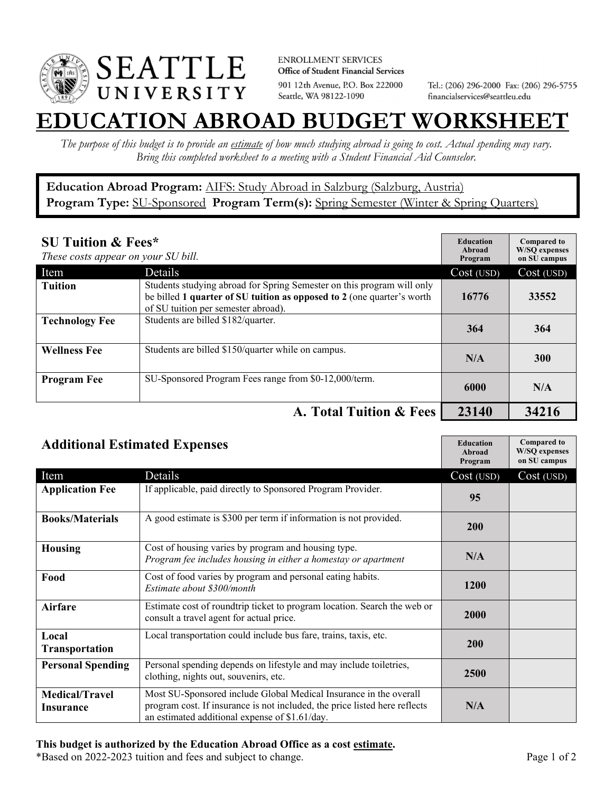

**ENROLLMENT SERVICES** Office of Student Financial Services 901 12th Avenue, P.O. Box 222000 Seattle, WA 98122-1090

Tel.: (206) 296-2000 Fax: (206) 296-5755 financialservices@seattleu.edu

## **EATION ABROAD BUDGET WORKSHEE**

*The purpose of this budget is to provide an estimate of how much studying abroad is going to cost. Actual spending may vary. Bring this completed worksheet to a meeting with a Student Financial Aid Counselor.* 

## **Education Abroad Program:** AIFS: Study Abroad in Salzburg (Salzburg, Austria) Program Type: **SU-Sponsored** Program Term(s): **Spring Semester** (Winter & Spring Quarters)

| <b>SU Tuition &amp; Fees*</b><br>These costs appear on your SU bill. |                                                                                                                                                                                         | <b>Education</b><br>Abroad<br>Program | <b>Compared to</b><br><b>W/SO</b> expenses<br>on SU campus |
|----------------------------------------------------------------------|-----------------------------------------------------------------------------------------------------------------------------------------------------------------------------------------|---------------------------------------|------------------------------------------------------------|
| Item                                                                 | Details                                                                                                                                                                                 | Cost (USD)                            | Cost (USD)                                                 |
| <b>Tuition</b>                                                       | Students studying abroad for Spring Semester on this program will only<br>be billed 1 quarter of SU tuition as opposed to 2 (one quarter's worth<br>of SU tuition per semester abroad). | 16776                                 | 33552                                                      |
| <b>Technology Fee</b>                                                | Students are billed \$182/quarter.                                                                                                                                                      | 364                                   | 364                                                        |
| <b>Wellness Fee</b>                                                  | Students are billed \$150/quarter while on campus.                                                                                                                                      | N/A                                   | <b>300</b>                                                 |
| <b>Program Fee</b>                                                   | SU-Sponsored Program Fees range from \$0-12,000/term.                                                                                                                                   | 6000                                  | N/A                                                        |
|                                                                      | A. Total Tuition & Fees                                                                                                                                                                 | 23140                                 | 34216                                                      |

| <b>Additional Estimated Expenses</b> |                                                                                                                                                                                                   | <b>Education</b><br><b>Abroad</b><br>Program | <b>Compared to</b><br><b>W/SQ</b> expenses<br>on SU campus |
|--------------------------------------|---------------------------------------------------------------------------------------------------------------------------------------------------------------------------------------------------|----------------------------------------------|------------------------------------------------------------|
| Item                                 | Details                                                                                                                                                                                           | Cost (USD)                                   | Cost (USD)                                                 |
| <b>Application Fee</b>               | If applicable, paid directly to Sponsored Program Provider.                                                                                                                                       | 95                                           |                                                            |
| <b>Books/Materials</b>               | A good estimate is \$300 per term if information is not provided.                                                                                                                                 | 200                                          |                                                            |
| <b>Housing</b>                       | Cost of housing varies by program and housing type.<br>Program fee includes housing in either a homestay or apartment                                                                             | N/A                                          |                                                            |
| Food                                 | Cost of food varies by program and personal eating habits.<br>Estimate about \$300/month                                                                                                          | 1200                                         |                                                            |
| <b>Airfare</b>                       | Estimate cost of roundtrip ticket to program location. Search the web or<br>consult a travel agent for actual price.                                                                              | <b>2000</b>                                  |                                                            |
| Local<br><b>Transportation</b>       | Local transportation could include bus fare, trains, taxis, etc.                                                                                                                                  | 200                                          |                                                            |
| <b>Personal Spending</b>             | Personal spending depends on lifestyle and may include toiletries,<br>clothing, nights out, souvenirs, etc.                                                                                       | 2500                                         |                                                            |
| <b>Medical/Travel</b><br>Insurance   | Most SU-Sponsored include Global Medical Insurance in the overall<br>program cost. If insurance is not included, the price listed here reflects<br>an estimated additional expense of \$1.61/day. | N/A                                          |                                                            |

## **This budget is authorized by the Education Abroad Office as a cost estimate.**

\*Based on 2022-2023 tuition and fees and subject to change. Page 1 of 2